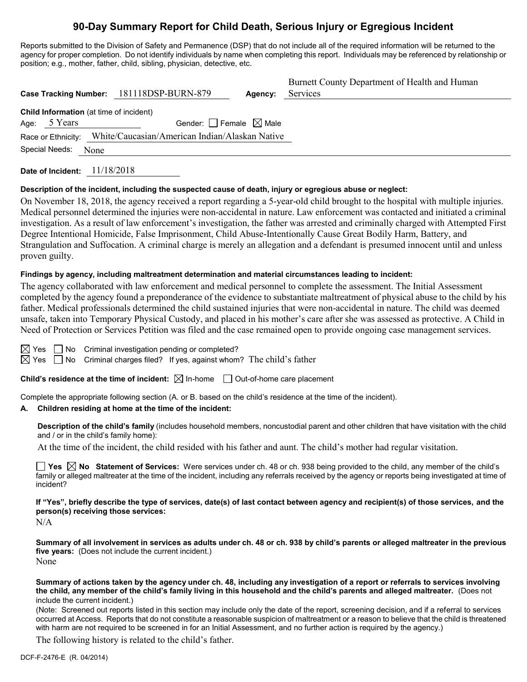# **90-Day Summary Report for Child Death, Serious Injury or Egregious Incident**

Reports submitted to the Division of Safety and Permanence (DSP) that do not include all of the required information will be returned to the agency for proper completion. Do not identify individuals by name when completing this report. Individuals may be referenced by relationship or position; e.g., mother, father, child, sibling, physician, detective, etc.

|      |                | Case Tracking Number: 181118DSP-BURN-879                                   | Agency: | Burnett County Department of Health and Human<br>Services |
|------|----------------|----------------------------------------------------------------------------|---------|-----------------------------------------------------------|
| Age: | 5 Years        | Child Information (at time of incident)<br>Gender: Female $\boxtimes$ Male |         |                                                           |
|      |                | Race or Ethnicity: White/Caucasian/American Indian/Alaskan Native          |         |                                                           |
|      | Special Needs: | None                                                                       |         |                                                           |

**Date of Incident:** 11/18/2018

### **Description of the incident, including the suspected cause of death, injury or egregious abuse or neglect:**

On November 18, 2018, the agency received a report regarding a 5-year-old child brought to the hospital with multiple injuries. Medical personnel determined the injuries were non-accidental in nature. Law enforcement was contacted and initiated a criminal investigation. As a result of law enforcement's investigation, the father was arrested and criminally charged with Attempted First Degree Intentional Homicide, False Imprisonment, Child Abuse-Intentionally Cause Great Bodily Harm, Battery, and Strangulation and Suffocation. A criminal charge is merely an allegation and a defendant is presumed innocent until and unless proven guilty.

#### **Findings by agency, including maltreatment determination and material circumstances leading to incident:**

The agency collaborated with law enforcement and medical personnel to complete the assessment. The Initial Assessment completed by the agency found a preponderance of the evidence to substantiate maltreatment of physical abuse to the child by his father. Medical professionals determined the child sustained injuries that were non-accidental in nature. The child was deemed unsafe, taken into Temporary Physical Custody, and placed in his mother's care after she was assessed as protective. A Child in Need of Protection or Services Petition was filed and the case remained open to provide ongoing case management services.

 $\boxtimes$  Yes  $\Box$  No Criminal investigation pending or completed?

 $\boxtimes$  Yes  $\Box$  No Criminal charges filed? If yes, against whom? The child's father

**Child's residence at the time of incident:**  $\boxtimes$  In-home  $\Box$  Out-of-home care placement

Complete the appropriate following section (A. or B. based on the child's residence at the time of the incident).

#### **A. Children residing at home at the time of the incident:**

**Description of the child's family** (includes household members, noncustodial parent and other children that have visitation with the child and / or in the child's family home):

At the time of the incident, the child resided with his father and aunt. The child's mother had regular visitation.

**Yes**  $\boxtimes$  **No** Statement of Services: Were services under ch. 48 or ch. 938 being provided to the child, any member of the child's family or alleged maltreater at the time of the incident, including any referrals received by the agency or reports being investigated at time of incident?

**If "Yes", briefly describe the type of services, date(s) of last contact between agency and recipient(s) of those services, and the person(s) receiving those services:**

N/A

**Summary of all involvement in services as adults under ch. 48 or ch. 938 by child's parents or alleged maltreater in the previous five years:** (Does not include the current incident.) None

**Summary of actions taken by the agency under ch. 48, including any investigation of a report or referrals to services involving the child, any member of the child's family living in this household and the child's parents and alleged maltreater.** (Does not include the current incident.)

(Note: Screened out reports listed in this section may include only the date of the report, screening decision, and if a referral to services occurred at Access. Reports that do not constitute a reasonable suspicion of maltreatment or a reason to believe that the child is threatened with harm are not required to be screened in for an Initial Assessment, and no further action is required by the agency.)

The following history is related to the child's father.